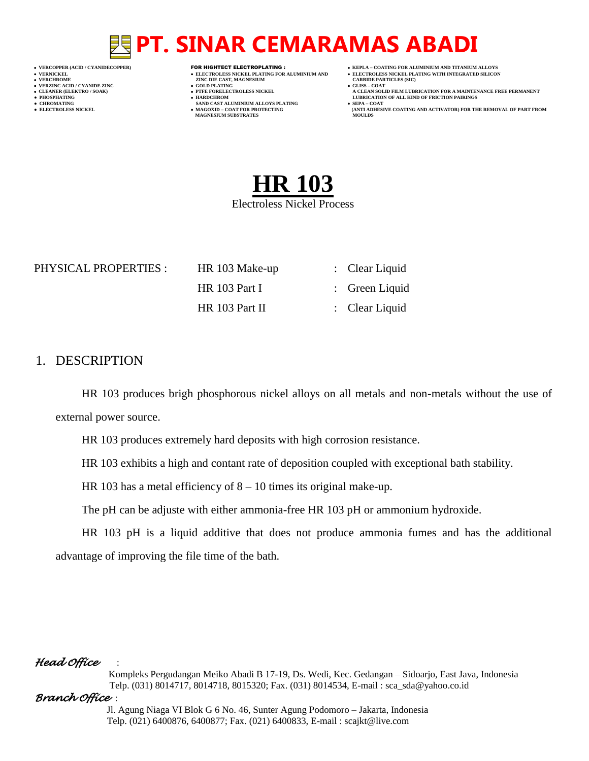- 
- 
- 

- **VERT ASSESSED ASSESSED ASSESSED ASSESSED ASSESSED ASSESSED ASSESSED ASSESSED ASSESSED ASSESSED ASSESSED ASSESSED ASSESSED ASSESSED ASSESSED ASSESSED ASSESSED ASSESSED ASSESSED ASSESSED ASSESSED ASSESSED ASSESSED ASSESSED**
- **VERZINC ACID / CYANIDE ZINC GOLD PLATING GLISS – COAT**
	-
- **● CHROMATING SAND CAST ALUMINIUM ALLOYS PLATING SEPA – COAT MAGNESIUM SUBSTRATES MOULDS**
- **VERCOPPER (ACID / CYANIDECOPPER)** FOR HIGHTECT ELECTROPLATING :  **KEPLA – COATING FOR ALUMINIUM AND TITANIUM ALLOYS**
- **VERNICKEL ELECTROLESS NICKEL PLATING FOR ALUMINIUM AND ELECTROLESS NICKEL PLATING WITH INTEGRATED SILICON**
	-
- **CLEANER (ELEKTRO / SOAK) PTFE FORELECTROLESS NICKEL A CLEAN SOLID FILM LUBRICATION FOR A MAINTENANCE FREE PERMANENT ● PHOSPHATING HARDCHROM LUBRICATION OF ALL KIND OF FRICTION PAIRINGS**
- **● ELECTROLESS NICKEL MAGOXID – COAT FOR PROTECTING (ANTI ADHESIVE COATING AND ACTIVATOR) FOR THE REMOVAL OF PART FROM**



### PHYSICAL PROPERTIES : HR 103 Make-up : Clear Liquid

HR 103 Part II : Clear Liquid

HR 103 Part I : Green Liquid

## 1. DESCRIPTION

HR 103 produces brigh phosphorous nickel alloys on all metals and non-metals without the use of external power source.

HR 103 produces extremely hard deposits with high corrosion resistance.

HR 103 exhibits a high and contant rate of deposition coupled with exceptional bath stability.

HR 103 has a metal efficiency of 8 – 10 times its original make-up.

The pH can be adjuste with either ammonia-free HR 103 pH or ammonium hydroxide.

HR 103 pH is a liquid additive that does not produce ammonia fumes and has the additional advantage of improving the file time of the bath.

## *Head Office* :

 Kompleks Pergudangan Meiko Abadi B 17-19, Ds. Wedi, Kec. Gedangan – Sidoarjo, East Java, Indonesia Telp. (031) 8014717, 8014718, 8015320; Fax. (031) 8014534, E-mail : sca\_sda@yahoo.co.id

## *Branch Office* :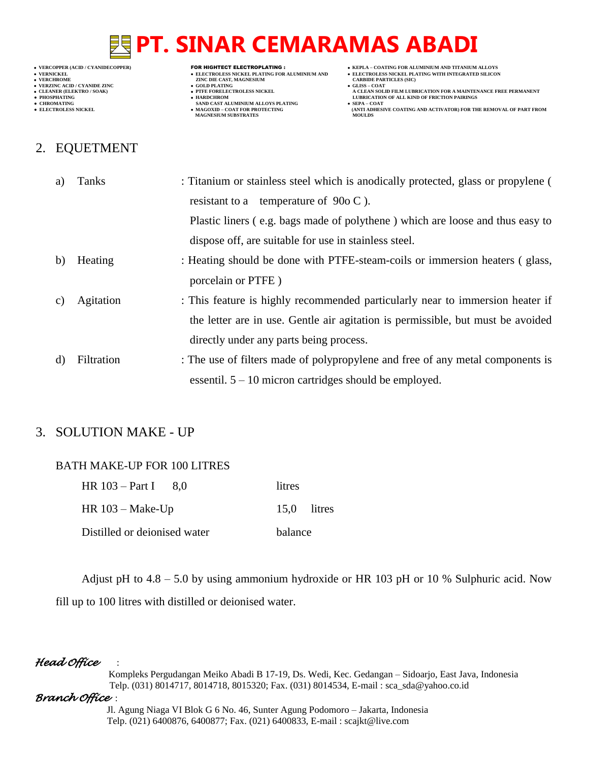- 
- 

- 
- 
- 

# 2. EQUETMENT

- **VERNICKEL ELECTROLESS NICKEL PLATING FOR ALUMINIUM AND**<br>• VERNICKEL PLATING WITH INTEGRATED SILICON<br>• VERCHROME **DELECTROLESS NICKEL PLATING WITH INTEGRATED SILICON**<br>• VERCHROME **CARBIDE PARTICLES** (SIC) **VERCHROME (ACID/CTANIDE ZINC )<br>
• VERCHROME 2INC DIE CAST, MAGNESIUM (CARBIDE PARTICLES (SICKEL PLATING FOR ALUMINIUM AND )<br>
• VERCHROME 2INC DIE CAST, MAGNESIUM (CARBIDE PARTICLES )<br>
• CLEANER (ELEKTRO / SOAK) (CLEANER (** 
	- **v GOLD PLATING**<br>**• PTFE FORELECTROLESS NICKEL**
	-
- **● CHROMATING SAND CAST ALUMINIUM ALLOYS PLATING SEPA – COAT MAGNESIUM SUBSTRATES MOULDS**
- **VERCOPPER (ACID / CYANIDECOPPER)** FOR HIGHTECT ELECTROPLATING :  **KEPLA – COATING FOR ALUMINIUM AND TITANIUM ALLOYS**
	-
	-
- **A CLEAN SOLID FILM LUBRICATION FOR A MAINTENANCE FREE PERMANENT ● PHOSPHATING HARDCHROM LUBRICATION OF ALL KIND OF FRICTION PAIRINGS**
- **● ELECTROLESS NICKEL MAGOXID – COAT FOR PROTECTING (ANTI ADHESIVE COATING AND ACTIVATOR) FOR THE REMOVAL OF PART FROM**

| a) | Tanks      | : Titanium or stainless steel which is anodically protected, glass or propylene ( |
|----|------------|-----------------------------------------------------------------------------------|
|    |            | resistant to a temperature of $90o \text{ C}$ ).                                  |
|    |            | Plastic liners (e.g. bags made of polythene) which are loose and thus easy to     |
|    |            | dispose off, are suitable for use in stainless steel.                             |
| b) | Heating    | : Heating should be done with PTFE-steam-coils or immersion heaters (glass,       |
|    |            | porcelain or PTFE)                                                                |
| C) | Agitation  | : This feature is highly recommended particularly near to immersion heater if     |
|    |            | the letter are in use. Gentle air agitation is permissible, but must be avoided   |
|    |            | directly under any parts being process.                                           |
| d) | Filtration | : The use of filters made of polypropylene and free of any metal components is    |
|    |            | essentil. $5 - 10$ micron cartridges should be employed.                          |

# 3. SOLUTION MAKE - UP

## BATH MAKE-UP FOR 100 LITRES

| HR $103 - Part I = 8.0$      | litres      |  |
|------------------------------|-------------|--|
| HR $103 - Make$ -Up          | 15.0 litres |  |
| Distilled or deionised water | balance     |  |

Adjust pH to 4.8 – 5.0 by using ammonium hydroxide or HR 103 pH or 10 % Sulphuric acid. Now fill up to 100 litres with distilled or deionised water.

## *Head Office* :

 Kompleks Pergudangan Meiko Abadi B 17-19, Ds. Wedi, Kec. Gedangan – Sidoarjo, East Java, Indonesia Telp. (031) 8014717, 8014718, 8015320; Fax. (031) 8014534, E-mail : sca\_sda@yahoo.co.id

### *Branch Office* :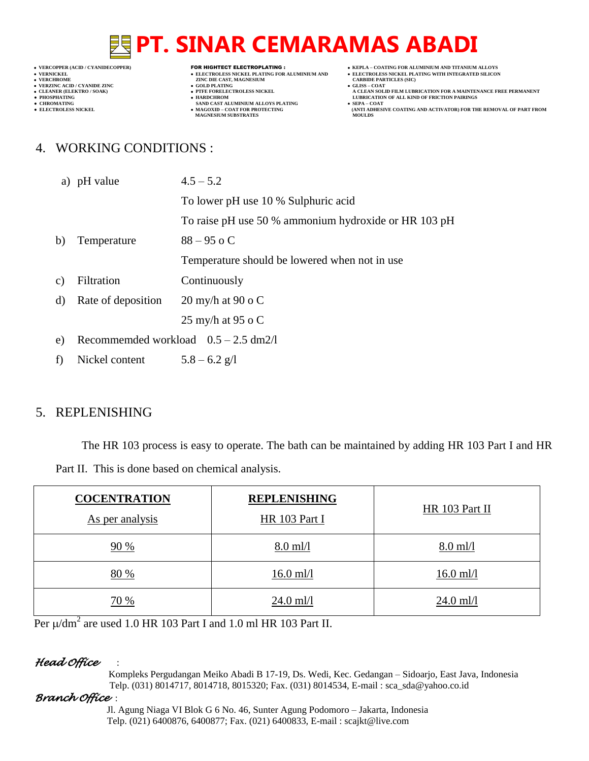${\small \begin{array}{ll} \bullet\text{ VERCHROME} & \text{CARBIDE PAR} \text{ PARBIDE PAR} \\\bullet\text{ VERZINC ACID / CYANDE ZINC} & \bullet\text{ GLLBIDE PAR} \\\bullet\text{ CLLBNER (ELERTRO) / SYANDE ZINC} & \bullet\text{ GLLBNP} \\\bullet\text{ CLLBNRO} / SYANDE ZINC A \\\bullet\text{ CLLBNP} & \bullet\text{ CLLBNP} \end{array} \label{eq:ex1}$ 

- **v GOLD PLATING**<br>**• PTFE FORELECTROLESS NICKEL**
- 
- **● CHROMATING SAND CAST ALUMINIUM ALLOYS PLATING SEPA – COAT MAGNESIUM SUBSTRATES MOULDS**
- **VERCOPPER (ACID / CYANIDECOPPER)** FOR HIGHTECT ELECTROPLATING :  **KEPLA – COATING FOR ALUMINIUM AND TITANIUM ALLOYS**
- **VERNICKEL ELECTROLESS NICKEL PLATING FOR ALUMINIUM AND**<br>• VERNICKEL PLATING WITH INTEGRATED SILICON<br>• VERCHROME **DELECTROLESS NICKEL PLATING WITH INTEGRATED SILICON**<br>• VERCHROME **CARBIDE PARTICLES** (SIC)
	-
- **A CLEAN SOLID FILM LUBRICATION FOR A MAINTENANCE FREE PERMANENT ● PHOSPHATING HARDCHROM LUBRICATION OF ALL KIND OF FRICTION PAIRINGS**
- **● ELECTROLESS NICKEL MAGOXID – COAT FOR PROTECTING (ANTI ADHESIVE COATING AND ACTIVATOR) FOR THE REMOVAL OF PART FROM**

# 4. WORKING CONDITIONS :

|                 | a) pH value                            | $4.5 - 5.2$                                          |
|-----------------|----------------------------------------|------------------------------------------------------|
|                 |                                        | To lower pH use 10 % Sulphuric acid                  |
|                 |                                        | To raise pH use 50 % ammonium hydroxide or HR 103 pH |
| b)              | Temperature                            | $88 - 95$ o C                                        |
|                 |                                        | Temperature should be lowered when not in use.       |
| $\mathcal{C}$ ) | Filtration                             | Continuously                                         |
| d)              | Rate of deposition                     | 20 my/h at 90 o $C$                                  |
|                 |                                        | 25 my/h at 95 o $C$                                  |
| e)              | Recommended workload $0.5 - 2.5$ dm2/l |                                                      |
| f               | Nickel content $5.8 - 6.2$ g/l         |                                                      |

# 5. REPLENISHING

The HR 103 process is easy to operate. The bath can be maintained by adding HR 103 Part I and HR Part II. This is done based on chemical analysis.

| <b>COCENTRATION</b><br>As per analysis | <b>REPLENISHING</b><br>HR 103 Part I | HR 103 Part II |
|----------------------------------------|--------------------------------------|----------------|
| 90%                                    | $8.0$ ml/l                           | $8.0$ ml/l     |
| 80 %                                   | $16.0$ ml/l                          | $16.0$ ml/l    |
| 70 %                                   | $24.0$ ml/l                          | $24.0$ ml/l    |

Per  $\mu$ /dm<sup>2</sup> are used 1.0 HR 103 Part I and 1.0 ml HR 103 Part II.

### *Head Office* :

 Kompleks Pergudangan Meiko Abadi B 17-19, Ds. Wedi, Kec. Gedangan – Sidoarjo, East Java, Indonesia Telp. (031) 8014717, 8014718, 8015320; Fax. (031) 8014534, E-mail : sca\_sda@yahoo.co.id

### *Branch Office* :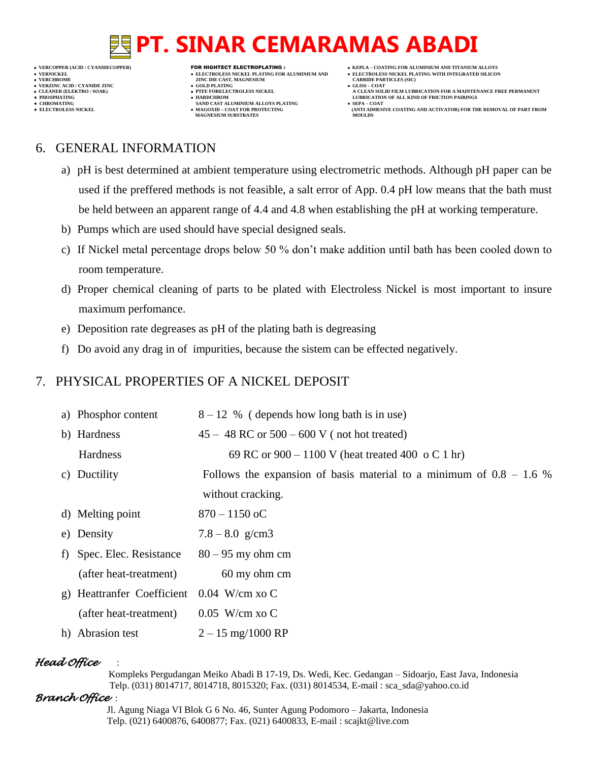- 
- 

- **VERT ASSESSED ASSESSED ASSESSED ASSESSED ASSESSED ASSESSED ASSESSED ASSESSED ASSESSED ASSESSED ASSESSED ASSESSED ASSESSED ASSESSED ASSESSED ASSESSED ASSESSED ASSESSED ASSESSED ASSESSED ASSESSED ASSESSED ASSESSED ASSESSED**
- **VERZINC ACID / CYANIDE ZINC GOLD PLATING GLISS – COAT**
- **● CHROMATING SAND CAST ALUMINIUM ALLOYS PLATING SEPA – COAT**
- **VERCOPPER (ACID / CYANIDECOPPER)** FOR HIGHTECT ELECTROPLATING :  **KEPLA – COATING FOR ALUMINIUM AND TITANIUM ALLOYS**
- **VERNICKEL ELECTROLESS NICKEL PLATING FOR ALUMINIUM AND ELECTROLESS NICKEL PLATING WITH INTEGRATED SILICON**
	-
- **CLEANER (ELEKTRO / SOAK) PTFE FORELECTROLESS NICKEL A CLEAN SOLID FILM LUBRICATION FOR A MAINTENANCE FREE PERMANENT ● PHOSPHATING HARDCHROM LUBRICATION OF ALL KIND OF FRICTION PAIRINGS**
- **● ELECTROLESS NICKEL MAGOXID – COAT FOR PROTECTING (ANTI ADHESIVE COATING AND ACTIVATOR) FOR THE REMOVAL OF PART FROM MAGNESIUM SUBSTRATES MOULDS**

# 6. GENERAL INFORMATION

- a) pH is best determined at ambient temperature using electrometric methods. Although pH paper can be used if the preffered methods is not feasible, a salt error of App. 0.4 pH low means that the bath must be held between an apparent range of 4.4 and 4.8 when establishing the pH at working temperature.
- b) Pumps which are used should have special designed seals.
- c) If Nickel metal percentage drops below 50 % don't make addition until bath has been cooled down to room temperature.
- d) Proper chemical cleaning of parts to be plated with Electroless Nickel is most important to insure maximum perfomance.
- e) Deposition rate degreases as pH of the plating bath is degreasing
- f) Do avoid any drag in of impurities, because the sistem can be effected negatively.

# 7. PHYSICAL PROPERTIES OF A NICKEL DEPOSIT

a) Phosphor content  $8-12\%$  (depends how long bath is in use) b) Hardness  $45 - 48$  RC or  $500 - 600$  V (not hot treated) Hardness 69 RC or  $900 - 1100$  V (heat treated 400 o C 1 hr) c) Ductility Follows the expansion of basis material to a minimum of  $0.8 - 1.6 %$ without cracking. d) Melting point  $870 - 1150$  oC e) Density  $7.8 - 8.0 \text{ g/cm}^3$ f) Spec. Elec. Resistance  $80 - 95$  my ohm cm (after heat-treatment) 60 my ohm cm g) Heattranfer Coefficient 0.04 W/cm xo C (after heat-treatment) 0.05 W/cm xo C h) Abrasion test  $2 - 15$  mg/1000 RP

# *Head Office* :

 Kompleks Pergudangan Meiko Abadi B 17-19, Ds. Wedi, Kec. Gedangan – Sidoarjo, East Java, Indonesia Telp. (031) 8014717, 8014718, 8015320; Fax. (031) 8014534, E-mail : sca\_sda@yahoo.co.id

## *Branch Office* :